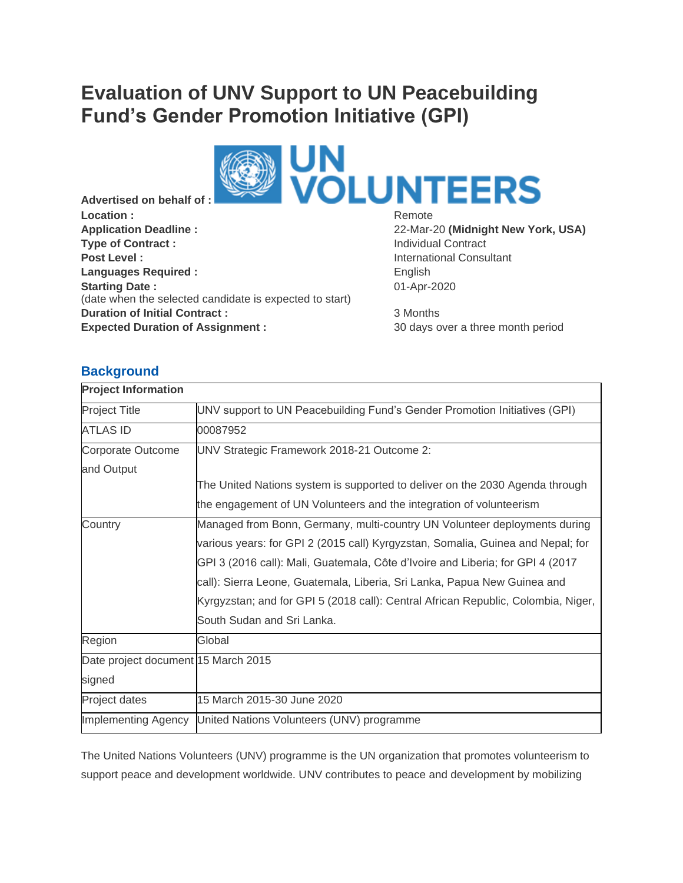# **Evaluation of UNV Support to UN Peacebuilding Fund's Gender Promotion Initiative (GPI)**



**Advertised on behalf of :** Location : **Remote Remote Remote Remote Application Deadline :** 22-Mar-20 **(Midnight New York, USA) Type of Contract :** Individual Contract : **Post Level : Post Level : International Consultant Languages Required :** English **Starting Date :** (date when the selected candidate is expected to start) **Duration of Initial Contract :** 3 Months **Expected Duration of Assignment :** 30 days over a three month period

01-Apr-2020

# **Background**

| <b>Project Information</b>          |                                                                                   |
|-------------------------------------|-----------------------------------------------------------------------------------|
| <b>Project Title</b>                | UNV support to UN Peacebuilding Fund's Gender Promotion Initiatives (GPI)         |
| <b>ATLAS ID</b>                     | 00087952                                                                          |
| Corporate Outcome                   | UNV Strategic Framework 2018-21 Outcome 2:                                        |
| and Output                          |                                                                                   |
|                                     | The United Nations system is supported to deliver on the 2030 Agenda through      |
|                                     | the engagement of UN Volunteers and the integration of volunteerism               |
| Country                             | Managed from Bonn, Germany, multi-country UN Volunteer deployments during         |
|                                     | various years: for GPI 2 (2015 call) Kyrgyzstan, Somalia, Guinea and Nepal; for   |
|                                     | GPI 3 (2016 call): Mali, Guatemala, Côte d'Ivoire and Liberia; for GPI 4 (2017    |
|                                     | call): Sierra Leone, Guatemala, Liberia, Sri Lanka, Papua New Guinea and          |
|                                     | Kyrgyzstan; and for GPI 5 (2018 call): Central African Republic, Colombia, Niger, |
|                                     | South Sudan and Sri Lanka.                                                        |
| Region                              | Global                                                                            |
| Date project document 15 March 2015 |                                                                                   |
| signed                              |                                                                                   |
| Project dates                       | 15 March 2015-30 June 2020                                                        |
| <b>Implementing Agency</b>          | United Nations Volunteers (UNV) programme                                         |

The United Nations Volunteers (UNV) programme is the UN organization that promotes volunteerism to support peace and development worldwide. UNV contributes to peace and development by mobilizing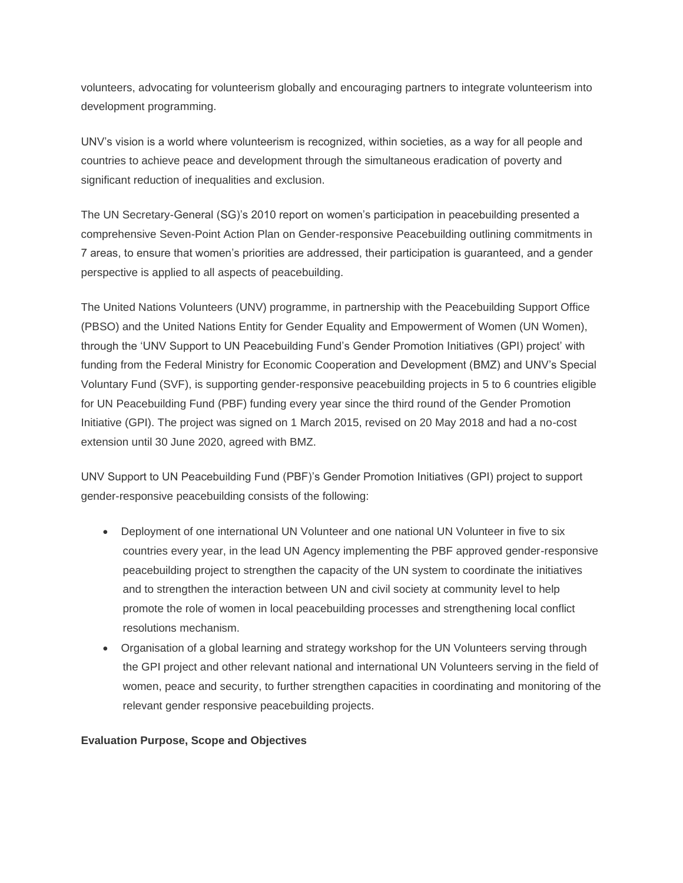volunteers, advocating for volunteerism globally and encouraging partners to integrate volunteerism into development programming.

UNV's vision is a world where volunteerism is recognized, within societies, as a way for all people and countries to achieve peace and development through the simultaneous eradication of poverty and significant reduction of inequalities and exclusion.

The UN Secretary-General (SG)'s 2010 report on women's participation in peacebuilding presented a comprehensive Seven-Point Action Plan on Gender-responsive Peacebuilding outlining commitments in 7 areas, to ensure that women's priorities are addressed, their participation is guaranteed, and a gender perspective is applied to all aspects of peacebuilding.

The United Nations Volunteers (UNV) programme, in partnership with the Peacebuilding Support Office (PBSO) and the United Nations Entity for Gender Equality and Empowerment of Women (UN Women), through the 'UNV Support to UN Peacebuilding Fund's Gender Promotion Initiatives (GPI) project' with funding from the Federal Ministry for Economic Cooperation and Development (BMZ) and UNV's Special Voluntary Fund (SVF), is supporting gender-responsive peacebuilding projects in 5 to 6 countries eligible for UN Peacebuilding Fund (PBF) funding every year since the third round of the Gender Promotion Initiative (GPI). The project was signed on 1 March 2015, revised on 20 May 2018 and had a no-cost extension until 30 June 2020, agreed with BMZ.

UNV Support to UN Peacebuilding Fund (PBF)'s Gender Promotion Initiatives (GPI) project to support gender-responsive peacebuilding consists of the following:

- Deployment of one international UN Volunteer and one national UN Volunteer in five to six countries every year, in the lead UN Agency implementing the PBF approved gender-responsive peacebuilding project to strengthen the capacity of the UN system to coordinate the initiatives and to strengthen the interaction between UN and civil society at community level to help promote the role of women in local peacebuilding processes and strengthening local conflict resolutions mechanism.
- Organisation of a global learning and strategy workshop for the UN Volunteers serving through the GPI project and other relevant national and international UN Volunteers serving in the field of women, peace and security, to further strengthen capacities in coordinating and monitoring of the relevant gender responsive peacebuilding projects.

#### **Evaluation Purpose, Scope and Objectives**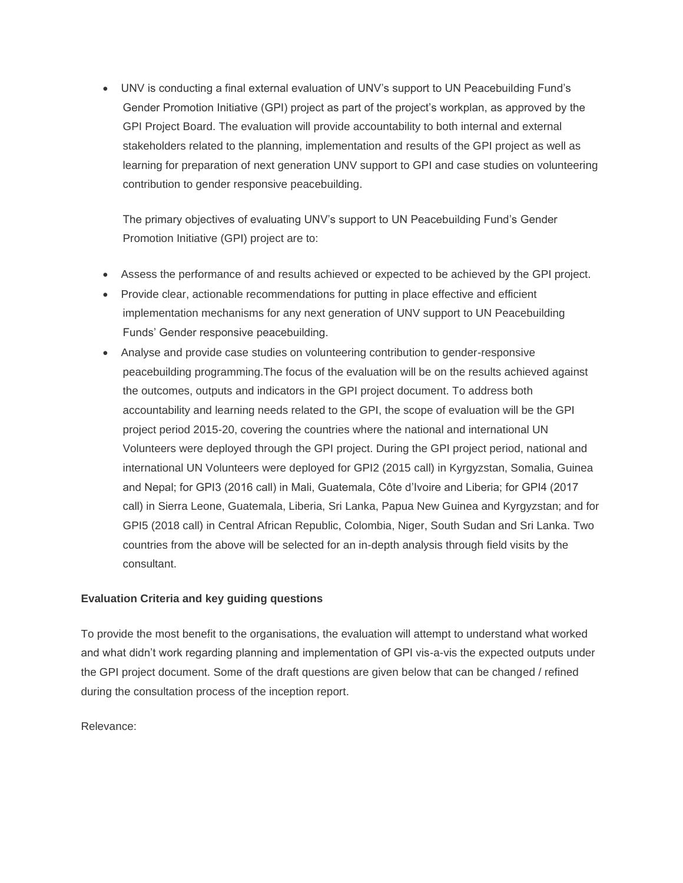• UNV is conducting a final external evaluation of UNV's support to UN Peacebuilding Fund's Gender Promotion Initiative (GPI) project as part of the project's workplan, as approved by the GPI Project Board. The evaluation will provide accountability to both internal and external stakeholders related to the planning, implementation and results of the GPI project as well as learning for preparation of next generation UNV support to GPI and case studies on volunteering contribution to gender responsive peacebuilding.

The primary objectives of evaluating UNV's support to UN Peacebuilding Fund's Gender Promotion Initiative (GPI) project are to:

- Assess the performance of and results achieved or expected to be achieved by the GPI project.
- Provide clear, actionable recommendations for putting in place effective and efficient implementation mechanisms for any next generation of UNV support to UN Peacebuilding Funds' Gender responsive peacebuilding.
- Analyse and provide case studies on volunteering contribution to gender-responsive peacebuilding programming.The focus of the evaluation will be on the results achieved against the outcomes, outputs and indicators in the GPI project document. To address both accountability and learning needs related to the GPI, the scope of evaluation will be the GPI project period 2015-20, covering the countries where the national and international UN Volunteers were deployed through the GPI project. During the GPI project period, national and international UN Volunteers were deployed for GPI2 (2015 call) in Kyrgyzstan, Somalia, Guinea and Nepal; for GPI3 (2016 call) in Mali, Guatemala, Côte d'Ivoire and Liberia; for GPI4 (2017 call) in Sierra Leone, Guatemala, Liberia, Sri Lanka, Papua New Guinea and Kyrgyzstan; and for GPI5 (2018 call) in Central African Republic, Colombia, Niger, South Sudan and Sri Lanka. Two countries from the above will be selected for an in-depth analysis through field visits by the consultant.

#### **Evaluation Criteria and key guiding questions**

To provide the most benefit to the organisations, the evaluation will attempt to understand what worked and what didn't work regarding planning and implementation of GPI vis-a-vis the expected outputs under the GPI project document. Some of the draft questions are given below that can be changed / refined during the consultation process of the inception report.

Relevance: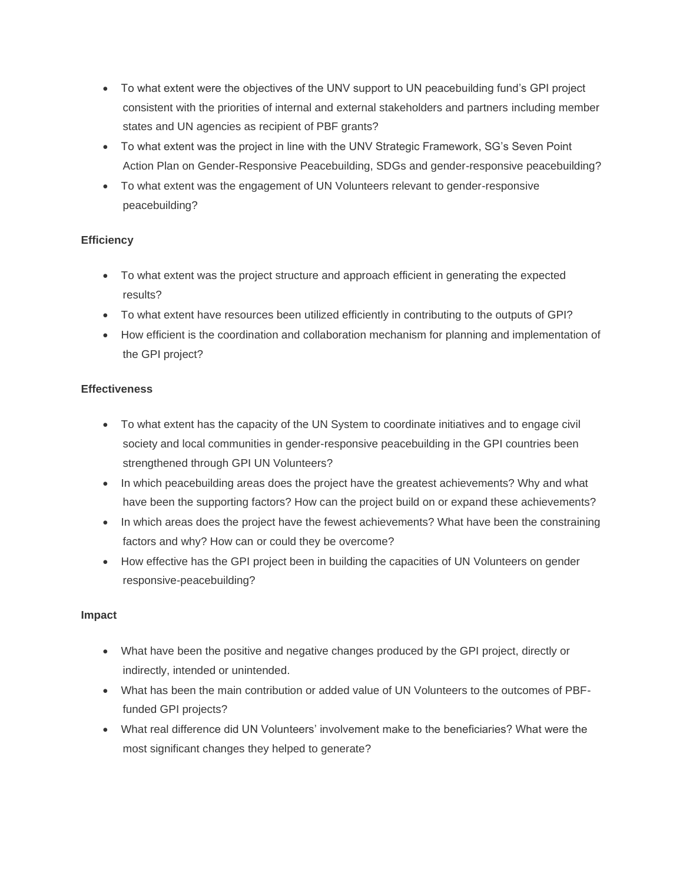- To what extent were the objectives of the UNV support to UN peacebuilding fund's GPI project consistent with the priorities of internal and external stakeholders and partners including member states and UN agencies as recipient of PBF grants?
- To what extent was the project in line with the UNV Strategic Framework, SG's Seven Point Action Plan on Gender-Responsive Peacebuilding, SDGs and gender-responsive peacebuilding?
- To what extent was the engagement of UN Volunteers relevant to gender-responsive peacebuilding?

# **Efficiency**

- To what extent was the project structure and approach efficient in generating the expected results?
- To what extent have resources been utilized efficiently in contributing to the outputs of GPI?
- How efficient is the coordination and collaboration mechanism for planning and implementation of the GPI project?

#### **Effectiveness**

- To what extent has the capacity of the UN System to coordinate initiatives and to engage civil society and local communities in gender-responsive peacebuilding in the GPI countries been strengthened through GPI UN Volunteers?
- In which peacebuilding areas does the project have the greatest achievements? Why and what have been the supporting factors? How can the project build on or expand these achievements?
- In which areas does the project have the fewest achievements? What have been the constraining factors and why? How can or could they be overcome?
- How effective has the GPI project been in building the capacities of UN Volunteers on gender responsive-peacebuilding?

#### **Impact**

- What have been the positive and negative changes produced by the GPI project, directly or indirectly, intended or unintended.
- What has been the main contribution or added value of UN Volunteers to the outcomes of PBFfunded GPI projects?
- What real difference did UN Volunteers' involvement make to the beneficiaries? What were the most significant changes they helped to generate?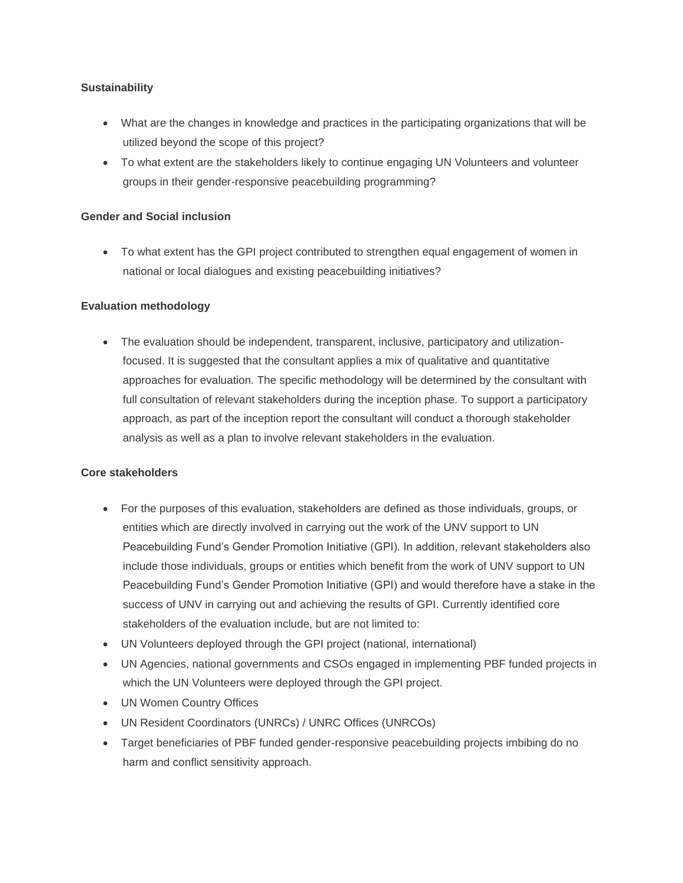#### **Sustainability**

- What are the changes in knowledge and practices in the participating organizations that will be utilized beyond the scope of this project?
- To what extent are the stakeholders likely to continue engaging UN Volunteers and volunteer groups in their gender-responsive peacebuilding programming?

#### **Gender and Social inclusion**

• To what extent has the GPI project contributed to strengthen equal engagement of women in national or local dialogues and existing peacebuilding initiatives?

#### **Evaluation methodology**

• The evaluation should be independent, transparent, inclusive, participatory and utilizationfocused. It is suggested that the consultant applies a mix of qualitative and quantitative approaches for evaluation. The specific methodology will be determined by the consultant with full consultation of relevant stakeholders during the inception phase. To support a participatory approach, as part of the inception report the consultant will conduct a thorough stakeholder analysis as well as a plan to involve relevant stakeholders in the evaluation.

#### **Core stakeholders**

- For the purposes of this evaluation, stakeholders are defined as those individuals, groups, or entities which are directly involved in carrying out the work of the UNV support to UN Peacebuilding Fund's Gender Promotion Initiative (GPI). In addition, relevant stakeholders also include those individuals, groups or entities which benefit from the work of UNV support to UN Peacebuilding Fund's Gender Promotion Initiative (GPI) and would therefore have a stake in the success of UNV in carrying out and achieving the results of GPI. Currently identified core stakeholders of the evaluation include, but are not limited to:
- UN Volunteers deployed through the GPI project (national, international)
- UN Agencies, national governments and CSOs engaged in implementing PBF funded projects in which the UN Volunteers were deployed through the GPI project.
- UN Women Country Offices
- UN Resident Coordinators (UNRCs) / UNRC Offices (UNRCOs)
- Target beneficiaries of PBF funded gender-responsive peacebuilding projects imbibing do no harm and conflict sensitivity approach.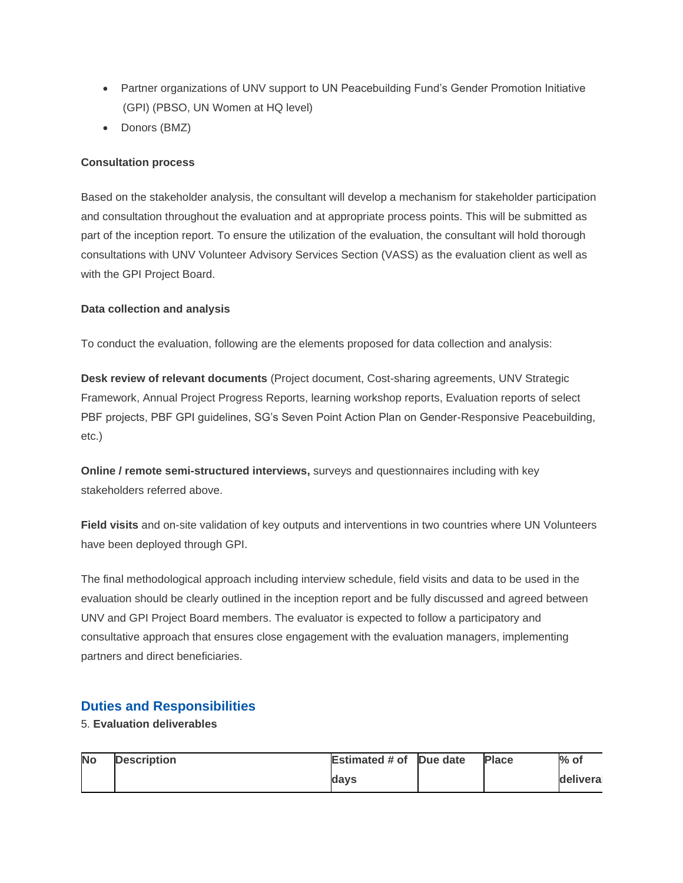- Partner organizations of UNV support to UN Peacebuilding Fund's Gender Promotion Initiative (GPI) (PBSO, UN Women at HQ level)
- Donors (BMZ)

## **Consultation process**

Based on the stakeholder analysis, the consultant will develop a mechanism for stakeholder participation and consultation throughout the evaluation and at appropriate process points. This will be submitted as part of the inception report. To ensure the utilization of the evaluation, the consultant will hold thorough consultations with UNV Volunteer Advisory Services Section (VASS) as the evaluation client as well as with the GPI Project Board.

#### **Data collection and analysis**

To conduct the evaluation, following are the elements proposed for data collection and analysis:

**Desk review of relevant documents** (Project document, Cost-sharing agreements, UNV Strategic Framework, Annual Project Progress Reports, learning workshop reports, Evaluation reports of select PBF projects, PBF GPI guidelines, SG's Seven Point Action Plan on Gender-Responsive Peacebuilding, etc.)

**Online / remote semi-structured interviews,** surveys and questionnaires including with key stakeholders referred above.

**Field visits** and on-site validation of key outputs and interventions in two countries where UN Volunteers have been deployed through GPI.

The final methodological approach including interview schedule, field visits and data to be used in the evaluation should be clearly outlined in the inception report and be fully discussed and agreed between UNV and GPI Project Board members. The evaluator is expected to follow a participatory and consultative approach that ensures close engagement with the evaluation managers, implementing partners and direct beneficiaries.

# **Duties and Responsibilities**

## 5. **Evaluation deliverables**

| <b>No</b> | <b>Description</b> | <b>Estimated # of Due date</b> | <b>Place</b> | $%$ of    |
|-----------|--------------------|--------------------------------|--------------|-----------|
|           |                    | davs                           |              | deliveral |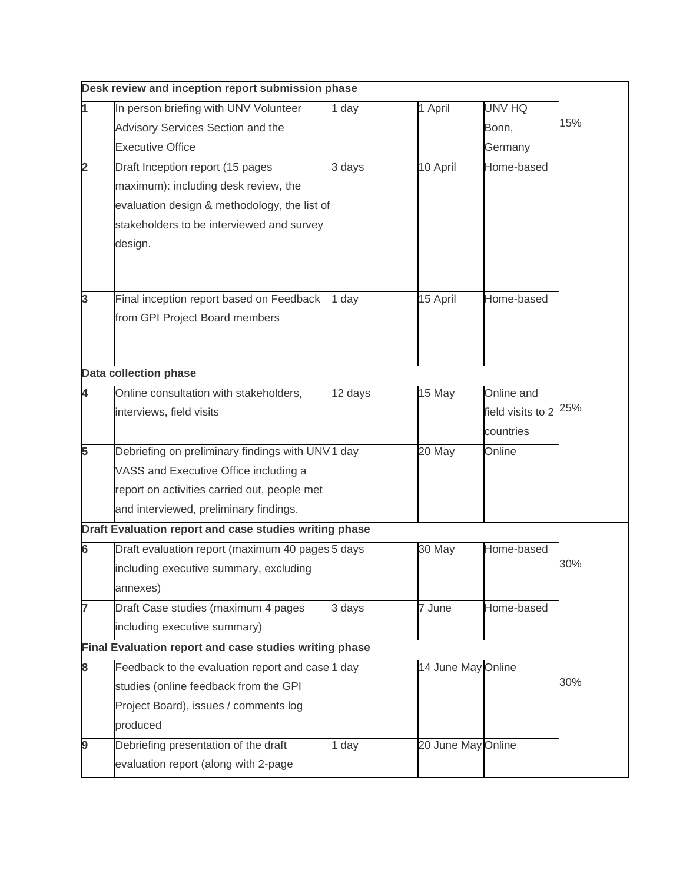| Desk review and inception report submission phase |                                                        |         |                    |                                  |     |  |  |
|---------------------------------------------------|--------------------------------------------------------|---------|--------------------|----------------------------------|-----|--|--|
| 1                                                 | In person briefing with UNV Volunteer                  | 1 day   | 1 April            | UNV HQ                           |     |  |  |
|                                                   | Advisory Services Section and the                      |         |                    | Bonn,                            | 15% |  |  |
|                                                   | <b>Executive Office</b>                                |         |                    | Germany                          |     |  |  |
| $\overline{\mathbf{2}}$                           | Draft Inception report (15 pages                       | 3 days  | 10 April           | Home-based                       |     |  |  |
|                                                   | maximum): including desk review, the                   |         |                    |                                  |     |  |  |
|                                                   | evaluation design & methodology, the list of           |         |                    |                                  |     |  |  |
|                                                   | stakeholders to be interviewed and survey              |         |                    |                                  |     |  |  |
|                                                   | design.                                                |         |                    |                                  |     |  |  |
|                                                   |                                                        |         |                    |                                  |     |  |  |
|                                                   |                                                        |         |                    |                                  |     |  |  |
| 3                                                 | Final inception report based on Feedback               | 1 day   | 15 April           | Home-based                       |     |  |  |
|                                                   | from GPI Project Board members                         |         |                    |                                  |     |  |  |
|                                                   |                                                        |         |                    |                                  |     |  |  |
|                                                   | Data collection phase                                  |         |                    |                                  |     |  |  |
| 4                                                 | Online consultation with stakeholders,                 | 12 days | 15 May             | Online and                       |     |  |  |
|                                                   | interviews, field visits                               |         |                    | field visits to 2 <sup>25%</sup> |     |  |  |
|                                                   |                                                        |         |                    | countries                        |     |  |  |
| 5                                                 | Debriefing on preliminary findings with UNV 1 day      |         | 20 May             | Online                           |     |  |  |
|                                                   | VASS and Executive Office including a                  |         |                    |                                  |     |  |  |
|                                                   | report on activities carried out, people met           |         |                    |                                  |     |  |  |
|                                                   | and interviewed, preliminary findings.                 |         |                    |                                  |     |  |  |
|                                                   | Draft Evaluation report and case studies writing phase |         |                    |                                  |     |  |  |
| 6                                                 | Draft evaluation report (maximum 40 pages 5 days       |         | 30 May             | Home-based                       |     |  |  |
|                                                   | including executive summary, excluding                 |         |                    |                                  | 30% |  |  |
|                                                   | annexes)                                               |         |                    |                                  |     |  |  |
| 7                                                 | Draft Case studies (maximum 4 pages                    | 3 days  | 7 June             | Home-based                       |     |  |  |
|                                                   | including executive summary)                           |         |                    |                                  |     |  |  |
|                                                   | Final Evaluation report and case studies writing phase |         |                    |                                  |     |  |  |
| 8                                                 | Feedback to the evaluation report and case 1 day       |         | 14 June May Online |                                  |     |  |  |
|                                                   | studies (online feedback from the GPI                  |         |                    |                                  | 30% |  |  |
|                                                   | Project Board), issues / comments log                  |         |                    |                                  |     |  |  |
|                                                   | produced                                               |         |                    |                                  |     |  |  |
| 9                                                 | Debriefing presentation of the draft                   | 1 day   | 20 June May Online |                                  |     |  |  |
|                                                   | evaluation report (along with 2-page                   |         |                    |                                  |     |  |  |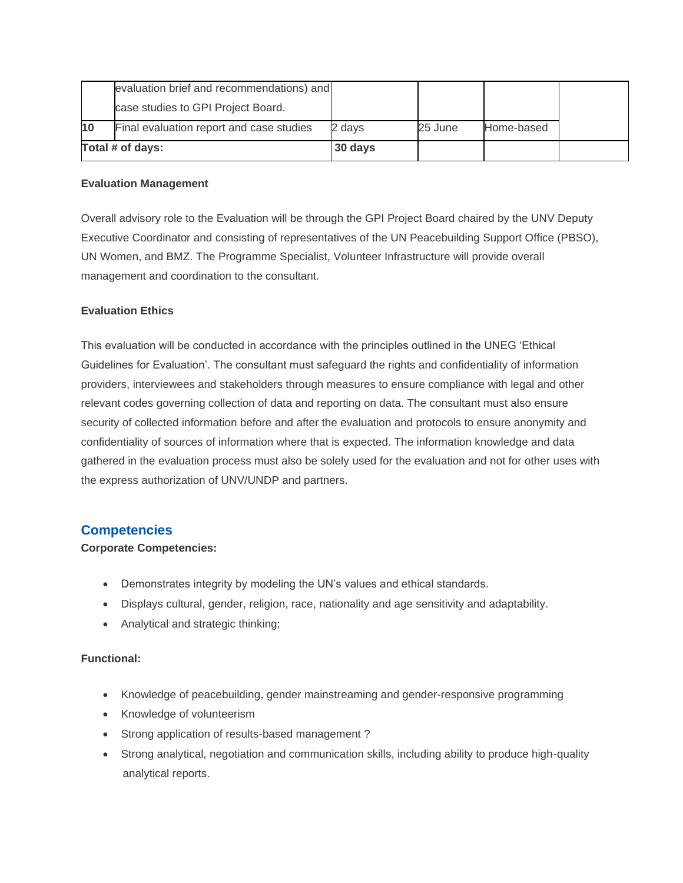|                  | evaluation brief and recommendations) and |         |         |            |  |
|------------------|-------------------------------------------|---------|---------|------------|--|
|                  | case studies to GPI Project Board.        |         |         |            |  |
| 10               | Final evaluation report and case studies  | 2 days  | 25 June | Home-based |  |
| Total # of days: |                                           | 30 days |         |            |  |

#### **Evaluation Management**

Overall advisory role to the Evaluation will be through the GPI Project Board chaired by the UNV Deputy Executive Coordinator and consisting of representatives of the UN Peacebuilding Support Office (PBSO), UN Women, and BMZ. The Programme Specialist, Volunteer Infrastructure will provide overall management and coordination to the consultant.

#### **Evaluation Ethics**

This evaluation will be conducted in accordance with the principles outlined in the UNEG 'Ethical Guidelines for Evaluation'. The consultant must safeguard the rights and confidentiality of information providers, interviewees and stakeholders through measures to ensure compliance with legal and other relevant codes governing collection of data and reporting on data. The consultant must also ensure security of collected information before and after the evaluation and protocols to ensure anonymity and confidentiality of sources of information where that is expected. The information knowledge and data gathered in the evaluation process must also be solely used for the evaluation and not for other uses with the express authorization of UNV/UNDP and partners.

# **Competencies**

#### **Corporate Competencies:**

- Demonstrates integrity by modeling the UN's values and ethical standards.
- Displays cultural, gender, religion, race, nationality and age sensitivity and adaptability.
- Analytical and strategic thinking;

#### **Functional:**

- Knowledge of peacebuilding, gender mainstreaming and gender-responsive programming
- Knowledge of volunteerism
- Strong application of results-based management ?
- Strong analytical, negotiation and communication skills, including ability to produce high-quality analytical reports.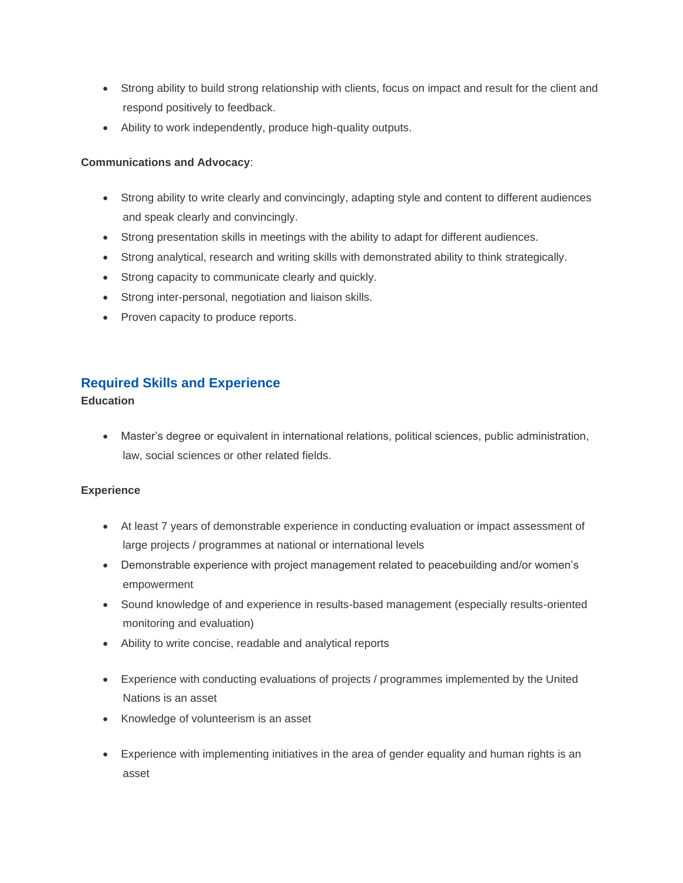- Strong ability to build strong relationship with clients, focus on impact and result for the client and respond positively to feedback.
- Ability to work independently, produce high-quality outputs.

## **Communications and Advocacy**:

- Strong ability to write clearly and convincingly, adapting style and content to different audiences and speak clearly and convincingly.
- Strong presentation skills in meetings with the ability to adapt for different audiences.
- Strong analytical, research and writing skills with demonstrated ability to think strategically.
- Strong capacity to communicate clearly and quickly.
- Strong inter-personal, negotiation and liaison skills.
- Proven capacity to produce reports.

# **Required Skills and Experience**

#### **Education**

• Master's degree or equivalent in international relations, political sciences, public administration, law, social sciences or other related fields.

# **Experience**

- At least 7 years of demonstrable experience in conducting evaluation or impact assessment of large projects / programmes at national or international levels
- Demonstrable experience with project management related to peacebuilding and/or women's empowerment
- Sound knowledge of and experience in results-based management (especially results-oriented monitoring and evaluation)
- Ability to write concise, readable and analytical reports
- Experience with conducting evaluations of projects / programmes implemented by the United Nations is an asset
- Knowledge of volunteerism is an asset
- Experience with implementing initiatives in the area of gender equality and human rights is an asset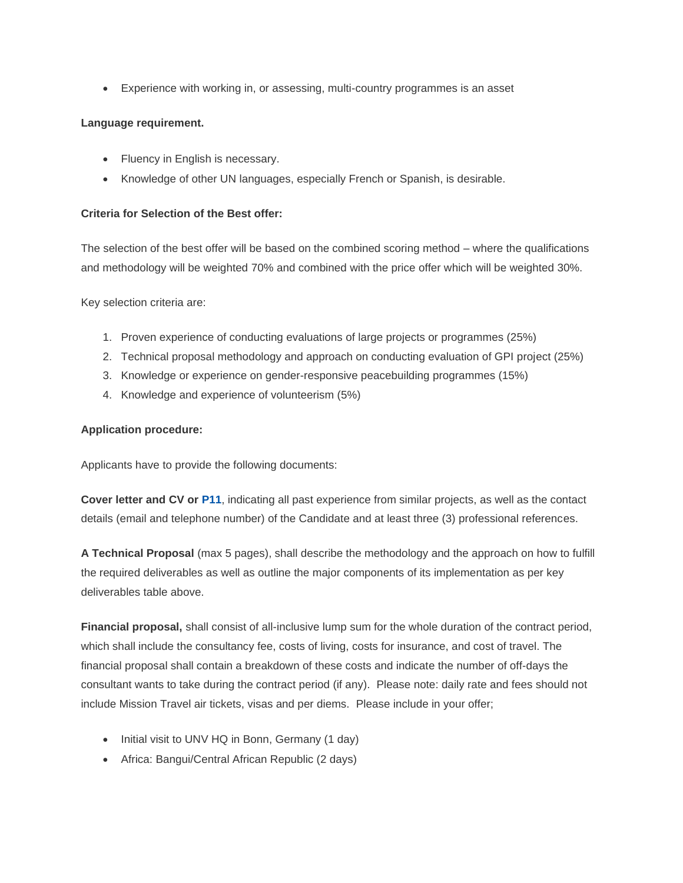• Experience with working in, or assessing, multi-country programmes is an asset

#### **Language requirement.**

- Fluency in English is necessary.
- Knowledge of other UN languages, especially French or Spanish, is desirable.

#### **Criteria for Selection of the Best offer:**

The selection of the best offer will be based on the combined scoring method – where the qualifications and methodology will be weighted 70% and combined with the price offer which will be weighted 30%.

Key selection criteria are:

- 1. Proven experience of conducting evaluations of large projects or programmes (25%)
- 2. Technical proposal methodology and approach on conducting evaluation of GPI project (25%)
- 3. Knowledge or experience on gender-responsive peacebuilding programmes (15%)
- 4. Knowledge and experience of volunteerism (5%)

#### **Application procedure:**

Applicants have to provide the following documents:

**Cover letter and CV or [P11](https://info.undp.org/global/documents/cap/P11%20modified%20for%20SCs%20and%20ICs.doc)**, indicating all past experience from similar projects, as well as the contact details (email and telephone number) of the Candidate and at least three (3) professional references.

**A Technical Proposal** (max 5 pages), shall describe the methodology and the approach on how to fulfill the required deliverables as well as outline the major components of its implementation as per key deliverables table above.

**Financial proposal,** shall consist of all-inclusive lump sum for the whole duration of the contract period, which shall include the consultancy fee, costs of living, costs for insurance, and cost of travel. The financial proposal shall contain a breakdown of these costs and indicate the number of off-days the consultant wants to take during the contract period (if any). Please note: daily rate and fees should not include Mission Travel air tickets, visas and per diems. Please include in your offer;

- Initial visit to UNV HQ in Bonn, Germany (1 day)
- Africa: Bangui/Central African Republic (2 days)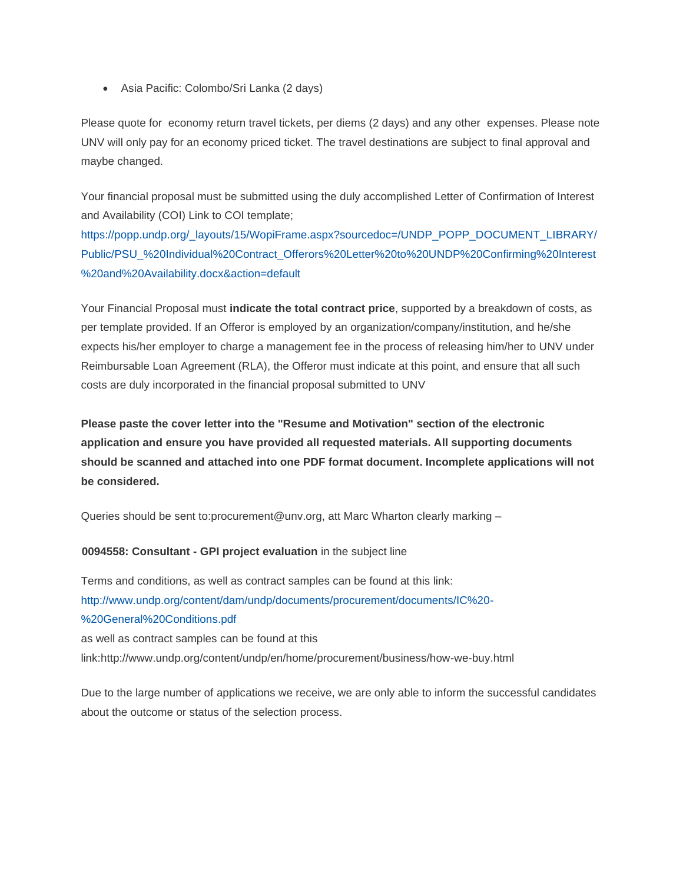• Asia Pacific: Colombo/Sri Lanka (2 days)

Please quote for economy return travel tickets, per diems (2 days) and any other expenses. Please note UNV will only pay for an economy priced ticket. The travel destinations are subject to final approval and maybe changed.

Your financial proposal must be submitted using the duly accomplished Letter of Confirmation of Interest and Availability (COI) Link to COI template;

[https://popp.undp.org/\\_layouts/15/WopiFrame.aspx?sourcedoc=/UNDP\\_POPP\\_DOCUMENT\\_LIBRARY/](https://popp.undp.org/_layouts/15/WopiFrame.aspx?sourcedoc=/UNDP_POPP_DOCUMENT_LIBRARY/Public/PSU_%20Individual%20Contract_Offerors%20Letter%20to%20UNDP%20Confirming%20Interest%20and%20Availability.docx&action=default) [Public/PSU\\_%20Individual%20Contract\\_Offerors%20Letter%20to%20UNDP%20Confirming%20Interest](https://popp.undp.org/_layouts/15/WopiFrame.aspx?sourcedoc=/UNDP_POPP_DOCUMENT_LIBRARY/Public/PSU_%20Individual%20Contract_Offerors%20Letter%20to%20UNDP%20Confirming%20Interest%20and%20Availability.docx&action=default) [%20and%20Availability.docx&action=default](https://popp.undp.org/_layouts/15/WopiFrame.aspx?sourcedoc=/UNDP_POPP_DOCUMENT_LIBRARY/Public/PSU_%20Individual%20Contract_Offerors%20Letter%20to%20UNDP%20Confirming%20Interest%20and%20Availability.docx&action=default)

Your Financial Proposal must **indicate the total contract price**, supported by a breakdown of costs, as per template provided. If an Offeror is employed by an organization/company/institution, and he/she expects his/her employer to charge a management fee in the process of releasing him/her to UNV under Reimbursable Loan Agreement (RLA), the Offeror must indicate at this point, and ensure that all such costs are duly incorporated in the financial proposal submitted to UNV

**Please paste the cover letter into the "Resume and Motivation" section of the electronic application and ensure you have provided all requested materials. All supporting documents should be scanned and attached into one PDF format document. Incomplete applications will not be considered.**

Queries should be sent to:procurement@unv.org, att Marc Wharton clearly marking –

#### **0094558: Consultant - GPI project evaluation** in the subject line

Terms and conditions, as well as contract samples can be found at this link: [http://www.undp.org/content/dam/undp/documents/procurement/documents/IC%20-](http://www.undp.org/content/dam/undp/documents/procurement/documents/IC%20-%20General%20Conditions.pdf) [%20General%20Conditions.pdf](http://www.undp.org/content/dam/undp/documents/procurement/documents/IC%20-%20General%20Conditions.pdf) as well as contract samples can be found at this link:http://www.undp.org/content/undp/en/home/procurement/business/how-we-buy.html

Due to the large number of applications we receive, we are only able to inform the successful candidates about the outcome or status of the selection process.